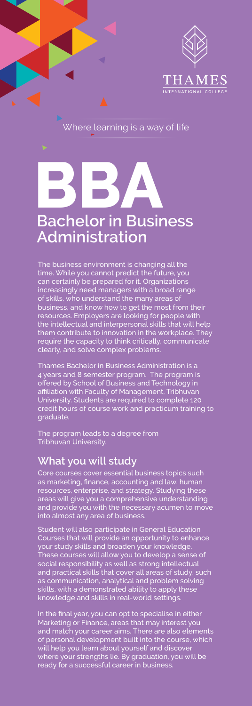

# **BBA**<br>Peebelerin Pusir **Bachelor in Business Administration**

The business environment is changing all the time. While you cannot predict the future, you can certainly be prepared for it. Organizations increasingly need managers with a broad range of skills, who understand the many areas of business, and know how to get the most from their resources. Employers are looking for people with the intellectual and interpersonal skills that will help them contribute to innovation in the workplace. They require the capacity to think critically, communicate clearly, and solve complex problems.

Thames Bachelor in Business Administration is a 4 years and 8 semester program. The program is offered by School of Business and Technology in affiliation with Faculty of Management, Tribhuvan University. Students are required to complete 120 credit hours of course work and practicum training to graduate.

The program leads to a degree from Tribhuvan University.

## **What you will study**

Core courses cover essential business topics such as marketing, finance, accounting and law, human resources, enterprise, and strategy. Studying these areas will give you a comprehensive understanding and provide you with the necessary acumen to move into almost any area of business.

Student will also participate in General Education Courses that will provide an opportunity to enhance your study skills and broaden your knowledge. These courses will allow you to develop a sense of social responsibility as well as strong intellectual and practical skills that cover all areas of study, such as communication, analytical and problem solving skills, with a demonstrated ability to apply these knowledge and skills in real-world settings.

In the final year, you can opt to specialise in either Marketing or Finance, areas that may interest you and match your career aims. There are also elements of personal development built into the course, which will help you learn about yourself and discover where your strengths lie. By graduation, you will be ready for a successful career in business.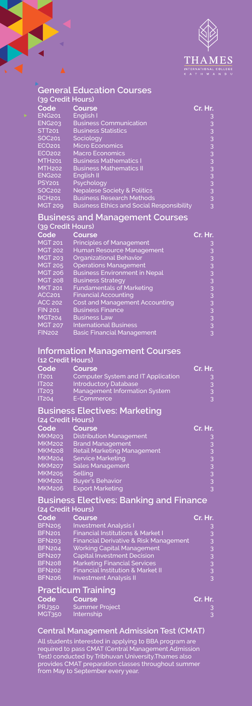

|                                | <b>General Education Courses</b>                                        |                         |  |  |
|--------------------------------|-------------------------------------------------------------------------|-------------------------|--|--|
| (39 Credit Hours)              |                                                                         |                         |  |  |
| Code                           | Course                                                                  | Cr. Hr.                 |  |  |
| <b>ENG201</b>                  | English I                                                               |                         |  |  |
| <b>ENG203</b>                  | <b>Business Communication</b>                                           |                         |  |  |
| <b>STT201</b>                  | <b>Business Statistics</b>                                              |                         |  |  |
| SOC201                         | Sociology                                                               |                         |  |  |
| ECO <sub>201</sub>             | <b>Micro Economics</b>                                                  |                         |  |  |
| <b>ECO202</b><br><b>MTH201</b> | <b>Macro Economics</b>                                                  |                         |  |  |
| <b>MTH202</b>                  | <b>Business Mathematics I</b><br><b>Business Mathematics II</b>         |                         |  |  |
| ENG202                         | English II                                                              |                         |  |  |
| <b>PSY201</b>                  | Psychology                                                              |                         |  |  |
| SOC <sub>202</sub>             | <b>Nepalese Society &amp; Politics</b>                                  |                         |  |  |
| <b>RCH201</b>                  | <b>Business Research Methods</b>                                        |                         |  |  |
| <b>MGT 209</b>                 | <b>Business Ethics and Social Responsibility</b>                        | m m m m m m m m m       |  |  |
|                                | <b>Business and Management Courses</b>                                  |                         |  |  |
| (39 Credit Hours)              |                                                                         |                         |  |  |
| Code                           | Course                                                                  | Cr. Hr.                 |  |  |
| <b>MGT 201</b>                 | <b>Principles of Management</b>                                         |                         |  |  |
| MGT 202                        | Human Resource Management                                               |                         |  |  |
| <b>MGT 203</b>                 | <b>Organizational Behavior</b>                                          |                         |  |  |
| <b>MGT 205</b>                 | <b>Operations Management</b>                                            |                         |  |  |
| <b>MGT 206</b>                 | <b>Business Environment in Nepal</b>                                    |                         |  |  |
| <b>MGT 208</b>                 | <b>Business Strategy</b>                                                |                         |  |  |
| MKT 201                        | <b>Fundamentals of Marketing</b>                                        |                         |  |  |
| ACC <sub>201</sub>             | <b>Financial Accounting</b>                                             |                         |  |  |
| <b>ACC 202</b>                 | <b>Cost and Management Accounting</b>                                   |                         |  |  |
| <b>FIN 201</b>                 | <b>Business Finance</b>                                                 |                         |  |  |
| <b>MGT204</b>                  | <b>Business Law</b>                                                     |                         |  |  |
| MGT 207<br><b>FIN202</b>       | <b>International Business</b>                                           | . ന ന ന ന ന ന ന ന ന ന ന |  |  |
|                                | <b>Basic Financial Management</b>                                       |                         |  |  |
|                                | <b>Information Management Courses</b>                                   |                         |  |  |
| (12 Credit Hours)              |                                                                         |                         |  |  |
| Code                           | Course                                                                  | Cr. Hr.                 |  |  |
| <b>IT201</b>                   | <b>Computer System and IT Application</b>                               |                         |  |  |
| <b>IT202</b>                   | <b>Introductory Database</b>                                            |                         |  |  |
| IT203                          | Management Information System                                           |                         |  |  |
| <b>IT204</b>                   | E-Commerce                                                              |                         |  |  |
|                                | <b>Business Electives: Marketing</b>                                    |                         |  |  |
| (24 Credit Hours)              |                                                                         |                         |  |  |
| Code                           | Course                                                                  | Cr. Hr.                 |  |  |
| <b>MKM203</b>                  | <b>Distribution Management</b>                                          |                         |  |  |
| <b>MKM202</b>                  | <b>Brand Management</b>                                                 |                         |  |  |
| <b>MKM208</b>                  | <b>Retail Marketing Management</b>                                      |                         |  |  |
| <b>MKM204</b>                  | <b>Service Marketing</b>                                                |                         |  |  |
| <b>MKM207</b>                  | Sales Management                                                        |                         |  |  |
| <b>MKM205</b>                  | Selling                                                                 |                         |  |  |
| MKMZ01                         | <b>Buyer's Behavior</b>                                                 |                         |  |  |
| <b>MKM206</b>                  | <b>Export Marketing</b>                                                 |                         |  |  |
|                                | <b>Business Electives: Banking and Finance</b>                          |                         |  |  |
| (24 Credit Hours)              |                                                                         |                         |  |  |
| Code                           | Course                                                                  | Cr. Hr.                 |  |  |
| <b>BFN205</b>                  | <b>Investment Analysis I</b>                                            |                         |  |  |
| <b>BFN201</b>                  | <b>Financial Institutions &amp; Market I</b>                            |                         |  |  |
| <b>BFN203</b><br><b>BFN204</b> | Financial Derivative & Risk Management                                  |                         |  |  |
| <b>BFN207</b>                  | <b>Working Capital Management</b><br><b>Capital Investment Decision</b> |                         |  |  |
| <b>BFN208</b>                  | <b>Marketing Financial Services</b>                                     |                         |  |  |
| <b>BFN202</b>                  | <b>Financial Institution &amp; Market II</b>                            |                         |  |  |
| <b>BFN206</b>                  | <b>Investment Analysis II</b>                                           | ന ന ന ന ന ന             |  |  |
|                                |                                                                         |                         |  |  |
| <b>Practicum Training</b>      |                                                                         |                         |  |  |
| Code                           | <b>Course</b>                                                           | Cr. Hr.                 |  |  |
| <b>PRJ350</b>                  | <b>Summer Project</b>                                                   |                         |  |  |
| <b>MGT350</b>                  | Internship                                                              |                         |  |  |

₹ 2 ä

#### **Central Management Admission Test (CMAT)**

All students interested in applying to BBA program are required to pass CMAT (Central Management Admission Test) conducted by Tribhuvan University.Thames also provides CMAT preparation classes throughout summer from May to September every year.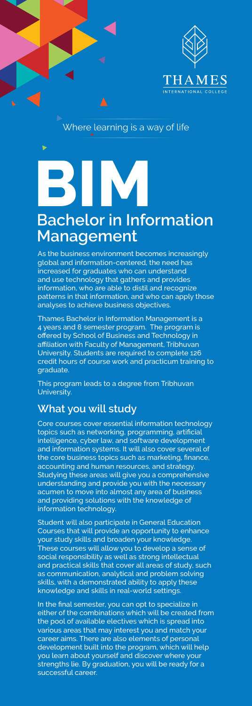

# **BIM Bachelor in Information Management**

As the business environment becomes increasingly global and information-centered, the need has increased for graduates who can understand and use technology that gathers and provides information, who are able to distil and recognize patterns in that information, and who can apply those analyses to achieve business objectives.

Thames Bachelor in Information Management is a 4 years and 8 semester program. The program is offered by School of Business and Technology in affiliation with Faculty of Management, Tribhuvan University. Students are required to complete 126 credit hours of course work and practicum training to graduate.

This program leads to a degree from Tribhuvan University.

## **What you will study**

Core courses cover essential information technology topics such as networking, programming, artificial intelligence, cyber law, and software development and information systems. It will also cover several of the core business topics such as marketing, finance, accounting and human resources, and strategy. Studying these areas will give you a comprehensive understanding and provide you with the necessary acumen to move into almost any area of business and providing solutions with the knowledge of information technology.

Student will also participate in General Education Courses that will provide an opportunity to enhance your study skills and broaden your knowledge. These courses will allow you to develop a sense of social responsibility as well as strong intellectual and practical skills that cover all areas of study, such as communication, analytical and problem solving skills, with a demonstrated ability to apply these knowledge and skills in real-world settings.

In the final semester, you can opt to specialize in either of the combinations which will be created from the pool of available electives which is spread into various areas that may interest you and match your career aims. There are also elements of personal development built into the program, which will help you learn about yourself and discover where your strengths lie. By graduation, you will be ready for a successful career.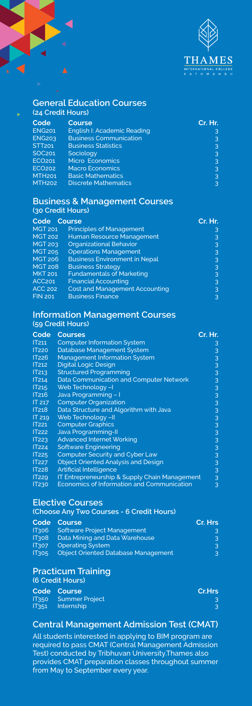

#### **General Education Courses (24 Credit Hours) Code Course Cr. Hr.** ENG201 English I: Academic Reading<br>
ENG203 Business Communication 33 ENG203 Business Communication 3 STT201 Business Statistics 3 STT201 Business Statistics<br>
SOC201 Sociology 3<br>
ECO202 Micro Economics<br>
SOC202 Macro Economics<br>
3<br>
MTH201 Basic Mathematics 3<br>
3<br>
MTH202 Discrete Mathematics 3 ECO201 Micro Economics 3 ECO202 Macro Economics 3 MTH201 Basic Mathematics<br>1981 Basic Mathematics<br>2015 MTH202 Discrete Mathematics Discrete Mathematics

#### **Business & Management Courses (30 Credit Hours)**

| Code Course        |                                       | Cr. Hr. |
|--------------------|---------------------------------------|---------|
| <b>MGT 201</b>     | <b>Principles of Management</b>       | 3       |
| <b>MGT 202</b>     | Human Resource Management             | 3       |
| <b>MGT 203</b>     | <b>Organizational Behavior</b>        | 3       |
| <b>MGT 205</b>     | <b>Operations Management</b>          | 3       |
| <b>MGT 206</b>     | <b>Business Environment in Nepal</b>  | 3       |
| <b>MGT 208</b>     | <b>Business Strategy</b>              | 3       |
| <b>MKT 201</b>     | <b>Fundamentals of Marketing</b>      | 3       |
| ACC <sub>201</sub> | <b>Financial Accounting</b>           | 3       |
| <b>ACC 202</b>     | <b>Cost and Management Accounting</b> | 3       |
| <b>FIN 201</b>     | <b>Business Finance</b>               | 3       |
|                    |                                       |         |

#### **Information Management Courses (59 Credit Hours)**

| Code              | <b>Courses</b>                                    | Cr. Hr.       |
|-------------------|---------------------------------------------------|---------------|
| IT211             | <b>Computer Information System</b>                | 3             |
| <b>IT220</b>      | Database Management System                        | 3             |
| <b>IT226</b>      | <b>Management Information System</b>              | 3             |
| IT <sub>212</sub> | <b>Digital Logic Design</b>                       |               |
| IT213             | <b>Structured Programming</b>                     | $\frac{3}{3}$ |
| IT214             | Data Communication and Computer Network           | 3             |
| IT215             | Web Technology -I                                 | 3             |
| IT216             | Java Programming - I                              |               |
| IT 217            | <b>Computer Organization</b>                      | $\frac{3}{3}$ |
| IT <sub>218</sub> | Data Structure and Algorithm with Java            | 3             |
| <b>IT 219</b>     | Web Technology -II                                | 3             |
| <b>IT221</b>      | <b>Computer Graphics</b>                          |               |
| <b>IT222</b>      | <b>Java Programming-II</b>                        | $\frac{3}{3}$ |
| <b>IT223</b>      | <b>Advanced Internet Working</b>                  | 3             |
| <b>IT224</b>      | <b>Software Engineering</b>                       | 3             |
| <b>IT225</b>      | Computer Security and Cyber Law                   | 3             |
| <b>IT227</b>      | <b>Object Oriented Analysis and Design</b>        | 3             |
| <b>IT228</b>      | <b>Artificial Intelligence</b>                    | 3             |
| <b>IT229</b>      | IT Entrepreneurship & Supply Chain Management     | 3             |
| IT <sub>230</sub> | <b>Economics of Information and Communication</b> | 3             |

#### **Elective Courses**

**(Choose Any Two Courses - 6 Credit Hours)**

|              | Code Course                                | Cr. Hrs |
|--------------|--------------------------------------------|---------|
| 11306        | Software Project Management                | 3       |
| <b>IT308</b> | Data Mining and Data Warehouse             | 3       |
| IT307        | <b>Operating System</b>                    | 3       |
| <b>IT305</b> | <b>Object Oriented Database Management</b> | 3       |

#### **Practicum Training**

**(6 Credit Hours)**

| Code Course                 | Cr.Hrs |
|-----------------------------|--------|
| <b>IT350</b> Summer Project |        |
| IT351 Internship            |        |

#### **Central Management Admission Test (CMAT)**

All students interested in applying to BIM program are required to pass CMAT (Central Management Admission Test) conducted by Tribhuvan University.Thames also provides CMAT preparation classes throughout summer from May to September every year.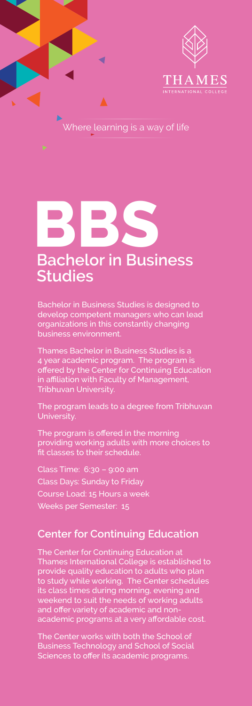

d

# **BBS**

## **Bachelor in Business Studies**

Bachelor in Business Studies is designed to develop competent managers who can lead organizations in this constantly changing business environment.

Thames Bachelor in Business Studies is a 4 year academic program. The program is offered by the Center for Continuing Education in affiliation with Faculty of Management, Tribhuvan University.

The program leads to a degree from Tribhuvan **University** 

The program is offered in the morning providing working adults with more choices to fit classes to their schedule.

Class Time: 6:30 – 9:00 am Class Days: Sunday to Friday Course Load: 15 Hours a week Weeks per Semester: 15

## **Center for Continuing Education**

The Center for Continuing Education at Thames International College is established to provide quality education to adults who plan to study while working. The Center schedules its class times during morning, evening and weekend to suit the needs of working adults and offer variety of academic and nonacademic programs at a very affordable cost.

The Center works with both the School of Business Technology and School of Social Sciences to offer its academic programs.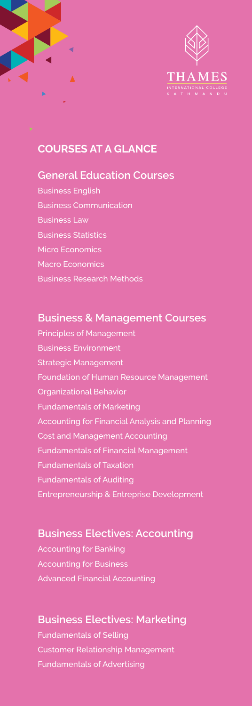

## **COURSES AT A GLANCE**

## **General Education Courses**

Business English Business Communication Business Law Business Statistics Micro Economics Macro Economics Business Research Methods

## **Business & Management Courses**

Principles of Management Business Environment Strategic Management Foundation of Human Resource Management Organizational Behavior Fundamentals of Marketing Accounting for Financial Analysis and Planning Cost and Management Accounting Fundamentals of Financial Management Fundamentals of Taxation Fundamentals of Auditing Entrepreneurship & Entreprise Development

## **Business Electives: Accounting**

Accounting for Banking Accounting for Business Advanced Financial Accounting

## **Business Electives: Marketing**

Fundamentals of Selling Customer Relationship Management Fundamentals of Advertising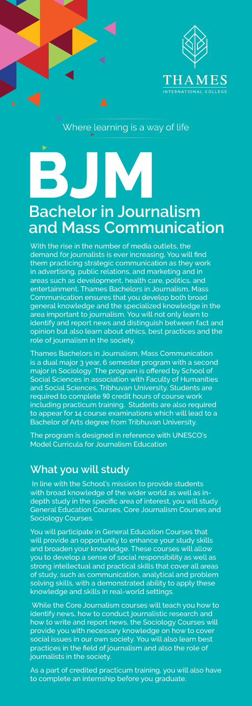

# **BJM Bachelor in Journalism and Mass Communication**

With the rise in the number of media outlets, the demand for journalists is ever increasing. You will find them practicing strategic communication as they work in advertising, public relations, and marketing and in areas such as development, health care, politics, and entertainment. Thames Bachelors in Journalism, Mass Communication ensures that you develop both broad general knowledge and the specialized knowledge in the area important to journalism. You will not only learn to identify and report news and distinguish between fact and opinion but also learn about ethics, best practices and the role of journalism in the society.

Thames Bachelors in Journalism, Mass Communication is a dual major 3 year, 6 semester program with a second major in Sociology. The program is offered by School of Social Sciences in association with Faculty of Humanities and Social Sciences, Tribhuvan University. Students are required to complete 90 credit hours of course work including practicum training. Students are also required to appear for 14 course examinations which will lead to a Bachelor of Arts degree from Tribhuvan University.

The program is designed in reference with UNESCO's Model Curricula for Journalism Education

## **What you will study**

In line with the School's mission to provide students with broad knowledge of the wider world as well as indepth study in the specific area of interest, you will study General Education Courses, Core Journalism Courses and Sociology Courses.

You will participate in General Education Courses that will provide an opportunity to enhance your study skills and broaden your knowledge. These courses will allow you to develop a sense of social responsibility as well as strong intellectual and practical skills that cover all areas of study, such as communication, analytical and problem solving skills, with a demonstrated ability to apply these knowledge and skills in real-world settings.

 While the Core Journalism courses will teach you how to identify news, how to conduct journalistic research and how to write and report news, the Sociology Courses will provide you with necessary knowledge on how to cover social issues in our own society. You will also learn best practices in the field of journalism and also the role of journalists in the society

As a part of credited practicum training, you will also have to complete an internship before you graduate.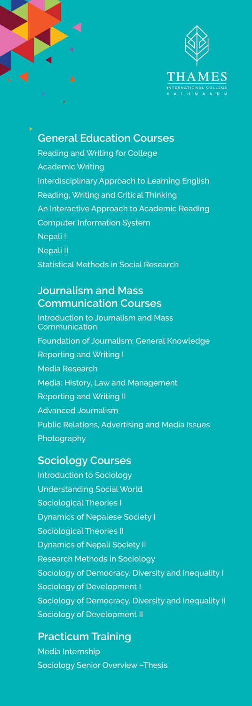

## **General Education Courses**

Reading and Writing for College Academic Writing Interdisciplinary Approach to Learning English Reading, Writing and Critical Thinking An Interactive Approach to Academic Reading Computer Information System Nepali I Nepali II Statistical Methods in Social Research

## **Journalism and Mass Communication Courses**

Introduction to Journalism and Mass Communication Foundation of Journalism: General Knowledge Reporting and Writing I Media Research Media: History, Law and Management Reporting and Writing II Advanced Journalism Public Relations, Advertising and Media Issues Photography

#### **Sociology Courses**

Introduction to Sociology Understanding Social World Sociological Theories I Dynamics of Nepalese Society I Sociological Theories II Dynamics of Nepali Society II Research Methods in Sociology Sociology of Democracy, Diversity and Inequality I Sociology of Development I Sociology of Democracy, Diversity and Inequality II Sociology of Development II

## **Practicum Training**

Media Internship Sociology Senior Overview –Thesis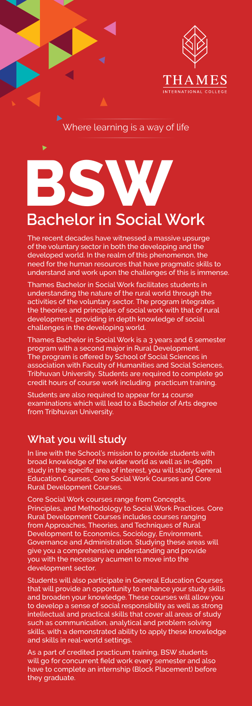

# **BSW**

## **Bachelor in Social Work**

The recent decades have witnessed a massive upsurge of the voluntary sector in both the developing and the developed world. In the realm of this phenomenon, the need for the human resources that have pragmatic skills to understand and work upon the challenges of this is immense.

Thames Bachelor in Social Work facilitates students in understanding the nature of the rural world through the activities of the voluntary sector. The program integrates the theories and principles of social work with that of rural development, providing in depth knowledge of social challenges in the developing world.

Thames Bachelor in Social Work is a 3 years and 6 semester program with a second major in Rural Development. The program is offered by School of Social Sciences in association with Faculty of Humanities and Social Sciences, Tribhuvan University. Students are required to complete 90 credit hours of course work including practicum training.

Students are also required to appear for 14 course examinations which will lead to a Bachelor of Arts degree from Tribhuvan University.

## **What you will study**

In line with the School's mission to provide students with broad knowledge of the wider world as well as in-depth study in the specific area of interest, you will study General Education Courses, Core Social Work Courses and Core Rural Development Courses.

Core Social Work courses range from Concepts, Principles, and Methodology to Social Work Practices. Core Rural Development Courses includes courses ranging from Approaches, Theories, and Techniques of Rural Development to Economics, Sociology, Environment, Governance and Administration. Studying these areas will give you a comprehensive understanding and provide you with the necessary acumen to move into the development sector.

Students will also participate in General Education Courses that will provide an opportunity to enhance your study skills and broaden your knowledge. These courses will allow you to develop a sense of social responsibility as well as strong intellectual and practical skills that cover all areas of study such as communication, analytical and problem solving skills, with a demonstrated ability to apply these knowledge and skills in real-world settings.

As a part of credited practicum training, BSW students will go for concurrent field work every semester and also have to complete an internship (Block Placement) before they graduate.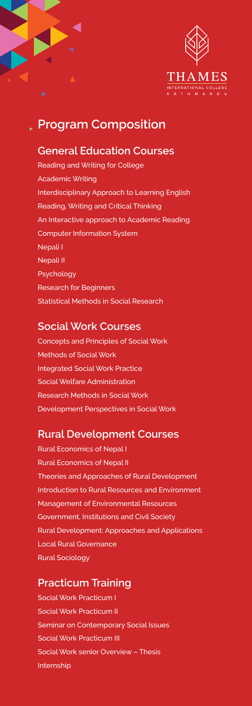

## **Program Composition**

### **General Education Courses**

Reading and Writing for College Academic Writing Interdisciplinary Approach to Learning English Reading, Writing and Critical Thinking An Interactive approach to Academic Reading Computer Information System Nepali I Nepali II Psychology Research for Beginners Statistical Methods in Social Research

## **Social Work Courses**

Concepts and Principles of Social Work Methods of Social Work Integrated Social Work Practice Social Welfare Administration Research Methods in Social Work Development Perspectives in Social Work

## **Rural Development Courses**

Rural Economics of Nepal I Rural Economics of Nepal II Theories and Approaches of Rural Development Introduction to Rural Resources and Environment Management of Environmental Resources Government, Institutions and Civil Society Rural Development: Approaches and Applications Local Rural Governance Rural Sociology

## **Practicum Training**

Social Work Practicum I Social Work Practicum II Seminar on Contemporary Social Issues Social Work Practicum III Social Work senior Overview – Thesis Internship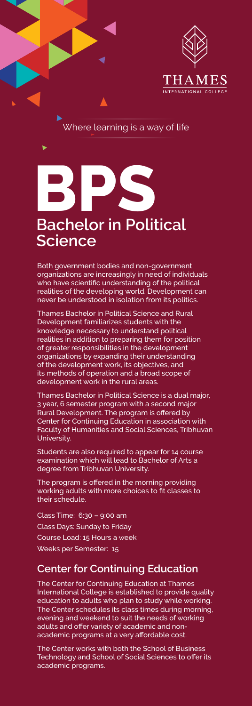

## **BPS Bachelor in Political Science**

Both government bodies and non-government organizations are increasingly in need of individuals who have scientific understanding of the political realities of the developing world. Development can never be understood in isolation from its politics.

Thames Bachelor in Political Science and Rural Development familiarizes students with the knowledge necessary to understand political realities in addition to preparing them for position of greater responsibilities in the development organizations by expanding their understanding of the development work, its objectives, and its methods of operation and a broad scope of development work in the rural areas.

Thames Bachelor in Political Science is a dual major, 3 year, 6 semester program with a second major Rural Development. The program is offered by Center for Continuing Education in association with Faculty of Humanities and Social Sciences, Tribhuvan University.

Students are also required to appear for 14 course examination which will lead to Bachelor of Arts a degree from Tribhuvan University.

The program is offered in the morning providing working adults with more choices to fit classes to their schedule.

Class Time: 6:30 – 9:00 am Class Days: Sunday to Friday Course Load: 15 Hours a week Weeks per Semester: 15

## **Center for Continuing Education**

The Center for Continuing Education at Thames International College is established to provide quality education to adults who plan to study while working. The Center schedules its class times during morning, evening and weekend to suit the needs of working adults and offer variety of academic and nonacademic programs at a very affordable cost.

The Center works with both the School of Business Technology and School of Social Sciences to offer its academic programs.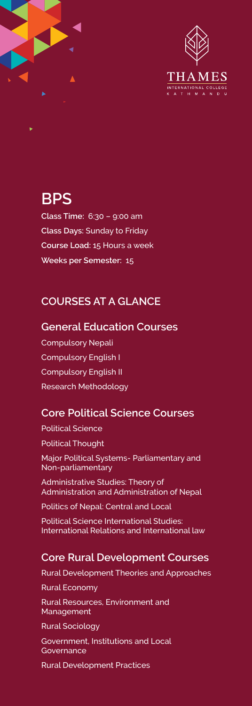

## **BPS**

**Class Time:** 6:30 – 9:00 am **Class Days:** Sunday to Friday **Course Load:** 15 Hours a week **Weeks per Semester:** 15

## **COURSES AT A GLANCE**

## **General Education Courses**

Compulsory Nepali Compulsory English I Compulsory English II Research Methodology

## **Core Political Science Courses**

Political Science Political Thought Major Political Systems- Parliamentary and Non-parliamentary

Administrative Studies: Theory of Administration and Administration of Nepal

Politics of Nepal: Central and Local

Political Science International Studies: International Relations and International law

## **Core Rural Development Courses**

Rural Development Theories and Approaches

Rural Economy

Rural Resources, Environment and Management

Rural Sociology

Government, Institutions and Local **Governance** 

Rural Development Practices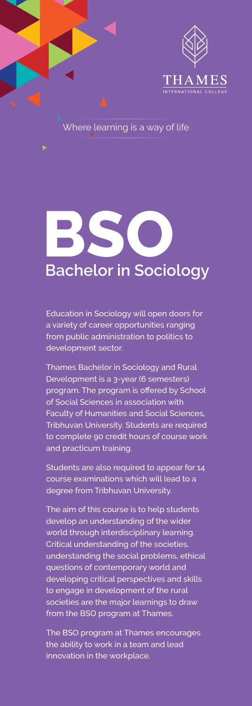

# **BSO Bachelor in Sociology**

Education in Sociology will open doors for a variety of career opportunities ranging from public administration to politics to development sector.

Thames Bachelor in Sociology and Rural Development is a 3-year (6 semesters) program. The program is offered by School of Social Sciences in association with Faculty of Humanities and Social Sciences, Tribhuvan University. Students are required to complete 90 credit hours of course work and practicum training.

Students are also required to appear for 14 course examinations which will lead to a degree from Tribhuvan University.

The aim of this course is to help students develop an understanding of the wider world through interdisciplinary learning. Critical understanding of the societies, understanding the social problems, ethical questions of contemporary world and developing critical perspectives and skills to engage in development of the rural societies are the major learnings to draw from the BSO program at Thames.

The BSO program at Thames encourages the ability to work in a team and lead innovation in the workplace.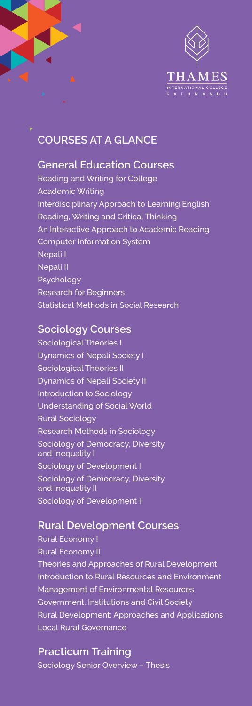

## **COURSES AT A GLANCE**

## **General Education Courses**

Reading and Writing for College Academic Writing Interdisciplinary Approach to Learning English Reading, Writing and Critical Thinking An Interactive Approach to Academic Reading Computer Information System Nepali I Nepali II Psychology Research for Beginners Statistical Methods in Social Research

## **Sociology Courses**

Sociological Theories I Dynamics of Nepali Society I Sociological Theories II Dynamics of Nepali Society II Introduction to Sociology Understanding of Social World Rural Sociology Research Methods in Sociology Sociology of Democracy, Diversity and Inequality I Sociology of Development I Sociology of Democracy, Diversity and Inequality II Sociology of Development II

## **Rural Development Courses**

Rural Economy I Rural Economy II Theories and Approaches of Rural Development Introduction to Rural Resources and Environment Management of Environmental Resources Government, Institutions and Civil Society Rural Development: Approaches and Applications Local Rural Governance

**Practicum Training** Sociology Senior Overview – Thesis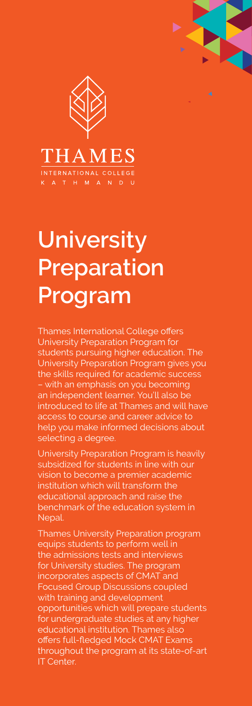

## **University Preparation Program**

Thames International College offers University Preparation Program for students pursuing higher education. The University Preparation Program gives you the skills required for academic success – with an emphasis on you becoming an independent learner. You'll also be introduced to life at Thames and will have access to course and career advice to help you make informed decisions about selecting a degree.

University Preparation Program is heavily subsidized for students in line with our vision to become a premier academic institution which will transform the educational approach and raise the benchmark of the education system in Nepal.

Thames University Preparation program equips students to perform well in the admissions tests and interviews for University studies. The program incorporates aspects of CMAT and Focused Group Discussions coupled with training and development opportunities which will prepare students for undergraduate studies at any higher educational institution. Thames also offers full-fledged Mock CMAT Exams throughout the program at its state-of-art IT Center.